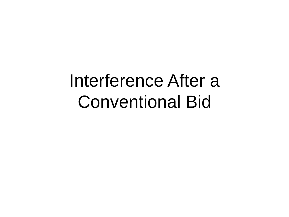#### Interference After a Conventional Bid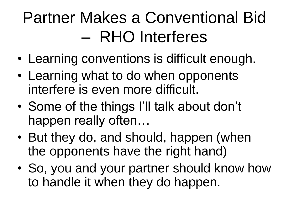#### Partner Makes a Conventional Bid – RHO Interferes

- Learning conventions is difficult enough.
- Learning what to do when opponents interfere is even more difficult.
- Some of the things I'll talk about don't happen really often…
- But they do, and should, happen (when the opponents have the right hand)
- So, you and your partner should know how to handle it when they do happen.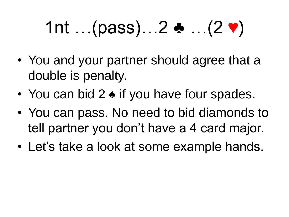# 1nt …(pass)…2 ♣ …(2 ♥)

- You and your partner should agree that a double is penalty.
- You can bid 2 ♦ if you have four spades.
- You can pass. No need to bid diamonds to tell partner you don't have a 4 card major.
- Let's take a look at some example hands.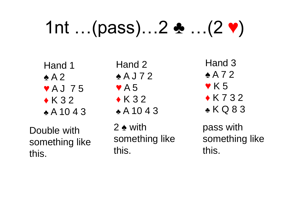## 1nt …(pass)…2 ♣ …(2 ♥)

Hand 1 ♠ A 2 ♥ A J 7 5  $\triangle$  K 3 2 ♣ A 10 4 3

Double with something like this.

Hand 2 ♠ A J 7 2  $\blacktriangledown$  A 5  $\triangle$  K 3 2 ♣ A 10 4 3

2 ♠ with something like this.

Hand 3 ♠ A 7 2  $\blacktriangledown$  K 5  $\triangle$  K 7 3 2 ♣ K Q 8 3

pass with something like this.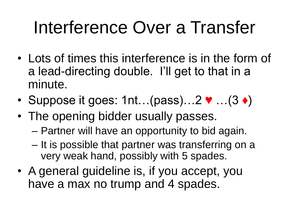### Interference Over a Transfer

- Lots of times this interference is in the form of a lead-directing double. I'll get to that in a minute.
- Suppose it goes: 1nt...(pass)...2  $\blacktriangledown$ ...(3  $\blacklozenge$ )
- The opening bidder usually passes.
	- Partner will have an opportunity to bid again.
	- It is possible that partner was transferring on a very weak hand, possibly with 5 spades.
- A general guideline is, if you accept, you have a max no trump and 4 spades.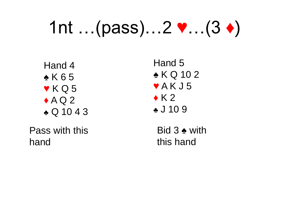### 1nt …(pass)…2 ♥…(3 ♦)

Hand 4 ♠ K 6 5  $\blacktriangledown$  K Q 5  $\triangle$  A Q 2 ♣ Q 10 4 3

Pass with this hand

Hand 5 ♠ K Q 10 2  $\blacktriangledown$  A K J 5  $\triangle$  K 2 ♣ J 10 9 Bid 3 ♠ with

this hand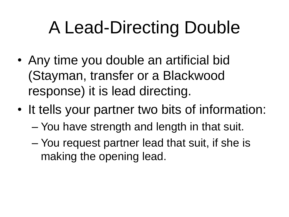## A Lead-Directing Double

- Any time you double an artificial bid (Stayman, transfer or a Blackwood response) it is lead directing.
- It tells your partner two bits of information: – You have strength and length in that suit.
	- You request partner lead that suit, if she is making the opening lead.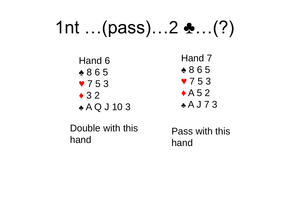#### 1nt …(pass)…2 ♣…(?)

Hand 6 ♠ 8 6 5 ♥ 7 5 3  $\triangle$  3 2 ♣ A Q J 10 3

Hand 7 ♠ 8 6 5 ♥ 7 5 3  $\triangle$  A 5 2 ♣ A J 7 3

Double with this hand

Pass with this hand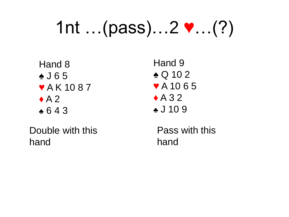## 1nt …(pass)…2 ♥…(?)

Hand 8 ♠ J 6 5 ♥ A K 10 8 7  $\triangle$  A 2 ♣ 6 4 3

Double with this hand

Hand 9 ♠ Q 10 2 ♥ A 10 6 5  $\triangle$  A 3 2 ♣ J 10 9

Pass with this hand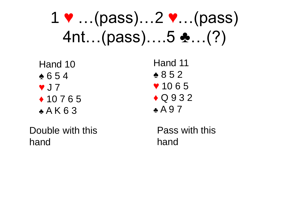#### $1 \cdot ... (pass)...2 \cdot ... (pass)$ 4nt…(pass)….5 ♣…(?)

Hand 10 ♠ 6 5 4 ♥ J 7 ♦ 10 7 6 5  $*$  A K 6 3

Double with this hand

Pass with this hand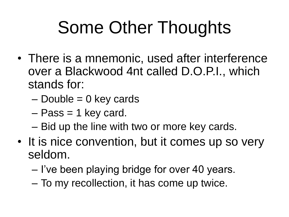## Some Other Thoughts

- There is a mnemonic, used after interference over a Blackwood 4nt called D.O.P.I., which stands for:
	- $-$  Double = 0 key cards
	- Pass = 1 key card.
	- Bid up the line with two or more key cards.
- It is nice convention, but it comes up so very seldom.
	- I've been playing bridge for over 40 years.
	- To my recollection, it has come up twice.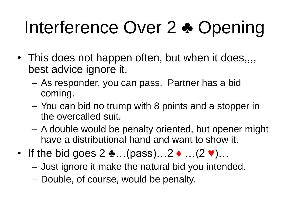# Interference Over 2 ♣ Opening

- This does not happen often, but when it does,,,, best advice ignore it.
	- As responder, you can pass. Partner has a bid coming.
	- You can bid no trump with 8 points and a stopper in the overcalled suit.
	- A double would be penalty oriented, but opener might have a distributional hand and want to show it.
- If the bid goes  $2 \cdot ... (pass)...2 \cdot ... (2 \cdot).$ 
	- Just ignore it make the natural bid you intended.
	- Double, of course, would be penalty.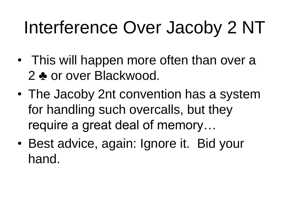## Interference Over Jacoby 2 NT

- This will happen more often than over a 2 ♣ or over Blackwood.
- The Jacoby 2nt convention has a system for handling such overcalls, but they require a great deal of memory…
- Best advice, again: Ignore it. Bid your hand.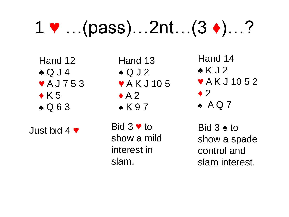### 1 ♥ …(pass)…2nt…(3 ♦)…?

Hand 12 ♠ Q J 4 ♥ A J 7 5 3  $\triangle$  K 5 ♣ Q 6 3

Just bid 4 ♥

Hand 13 ♠ Q J 2 ♥ A K J 10 5  $\triangle$  A 2 ♣ K 9 7

Bid 3 ♥ to show a mild interest in slam.

Hand 14 ♠ K J 2 ♥ A K J 10 5 2  $\blacklozenge$  2  $\triangle$  AQ7 Bid 3 ♠ to show a spade control and

slam interest.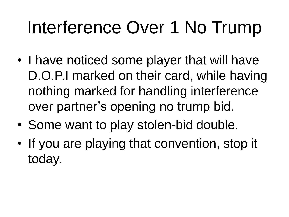## Interference Over 1 No Trump

- I have noticed some player that will have D.O.P.I marked on their card, while having nothing marked for handling interference over partner's opening no trump bid.
- Some want to play stolen-bid double.
- If you are playing that convention, stop it today.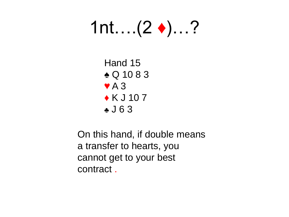### 1nt….(2 ♦)…?

Hand 15 ♠ Q 10 8 3  $\blacktriangledown$  A 3  $\triangle K$  J 10 7 ♣ J 6 3

On this hand, if double means a transfer to hearts, you cannot get to your best contract .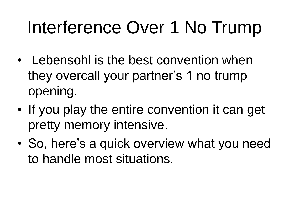## Interference Over 1 No Trump

- Lebensohl is the best convention when they overcall your partner's 1 no trump opening.
- If you play the entire convention it can get pretty memory intensive.
- So, here's a quick overview what you need to handle most situations.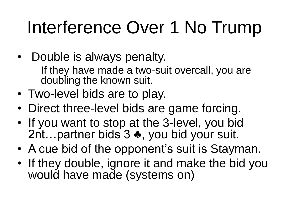## Interference Over 1 No Trump

- Double is always penalty.
	- If they have made a two-suit overcall, you are doubling the known suit.
- Two-level bids are to play.
- Direct three-level bids are game forcing.
- If you want to stop at the 3-level, you bid 2nt…partner bids 3 ♣, you bid your suit.
- A cue bid of the opponent's suit is Stayman.
- If they double, ignore it and make the bid you would have made (systems on)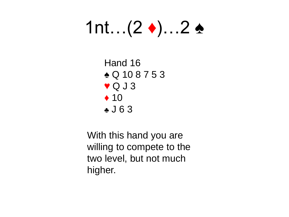## 1nt… $(2 \blacklozenge)$ …2 ♠

Hand 16 ♠ Q 10 8 7 5 3  $\blacktriangledown$  Q J 3  $\triangle$  10 ♣ J 6 3

With this hand you are willing to compete to the two level, but not much higher.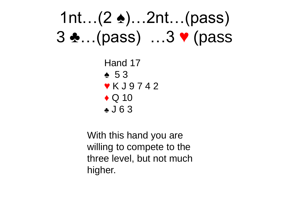#### 1nt…(2 ♠)…2nt…(pass) 3 ♣…(pass) …3 ♥ (pass

Hand 17 ♠ 5 3 ♥ K J 9 7 4 2  $\triangle$  Q 10 ♣ J 6 3

With this hand you are willing to compete to the three level, but not much higher.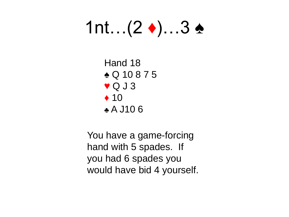## 1nt…(2 ♦)…3 ♠

Hand 18 ♠ Q 10 8 7 5  $\blacktriangledown$  Q J 3  $\triangle$  10 ♣ A J10 6

You have a game-forcing hand with 5 spades. If you had 6 spades you would have bid 4 yourself.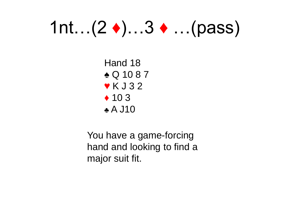### 1nt…(2 ♦)…3 ♦ …(pass)

Hand 18 ♠ Q 10 8 7 ♥ K J 3 2  $\triangle$  10 3 ♣ A J10

You have a game-forcing hand and looking to find a major suit fit.